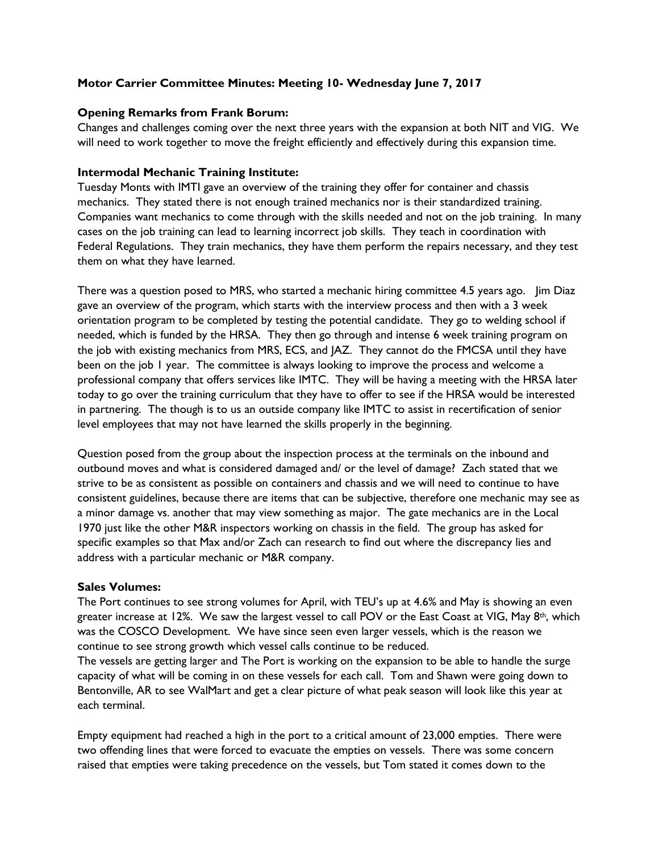# **Motor Carrier Committee Minutes: Meeting 10- Wednesday June 7, 2017**

## **Opening Remarks from Frank Borum:**

Changes and challenges coming over the next three years with the expansion at both NIT and VIG. We will need to work together to move the freight efficiently and effectively during this expansion time.

## **Intermodal Mechanic Training Institute:**

Tuesday Monts with IMTI gave an overview of the training they offer for container and chassis mechanics. They stated there is not enough trained mechanics nor is their standardized training. Companies want mechanics to come through with the skills needed and not on the job training. In many cases on the job training can lead to learning incorrect job skills. They teach in coordination with Federal Regulations. They train mechanics, they have them perform the repairs necessary, and they test them on what they have learned.

There was a question posed to MRS, who started a mechanic hiring committee 4.5 years ago. Jim Diaz gave an overview of the program, which starts with the interview process and then with a 3 week orientation program to be completed by testing the potential candidate. They go to welding school if needed, which is funded by the HRSA. They then go through and intense 6 week training program on the job with existing mechanics from MRS, ECS, and JAZ. They cannot do the FMCSA until they have been on the job 1 year. The committee is always looking to improve the process and welcome a professional company that offers services like IMTC. They will be having a meeting with the HRSA later today to go over the training curriculum that they have to offer to see if the HRSA would be interested in partnering. The though is to us an outside company like IMTC to assist in recertification of senior level employees that may not have learned the skills properly in the beginning.

Question posed from the group about the inspection process at the terminals on the inbound and outbound moves and what is considered damaged and/ or the level of damage? Zach stated that we strive to be as consistent as possible on containers and chassis and we will need to continue to have consistent guidelines, because there are items that can be subjective, therefore one mechanic may see as a minor damage vs. another that may view something as major. The gate mechanics are in the Local 1970 just like the other M&R inspectors working on chassis in the field. The group has asked for specific examples so that Max and/or Zach can research to find out where the discrepancy lies and address with a particular mechanic or M&R company.

### **Sales Volumes:**

The Port continues to see strong volumes for April, with TEU's up at 4.6% and May is showing an even greater increase at 12%. We saw the largest vessel to call POV or the East Coast at VIG, May  $8<sup>th</sup>$ , which was the COSCO Development. We have since seen even larger vessels, which is the reason we continue to see strong growth which vessel calls continue to be reduced.

The vessels are getting larger and The Port is working on the expansion to be able to handle the surge capacity of what will be coming in on these vessels for each call. Tom and Shawn were going down to Bentonville, AR to see WalMart and get a clear picture of what peak season will look like this year at each terminal.

Empty equipment had reached a high in the port to a critical amount of 23,000 empties. There were two offending lines that were forced to evacuate the empties on vessels. There was some concern raised that empties were taking precedence on the vessels, but Tom stated it comes down to the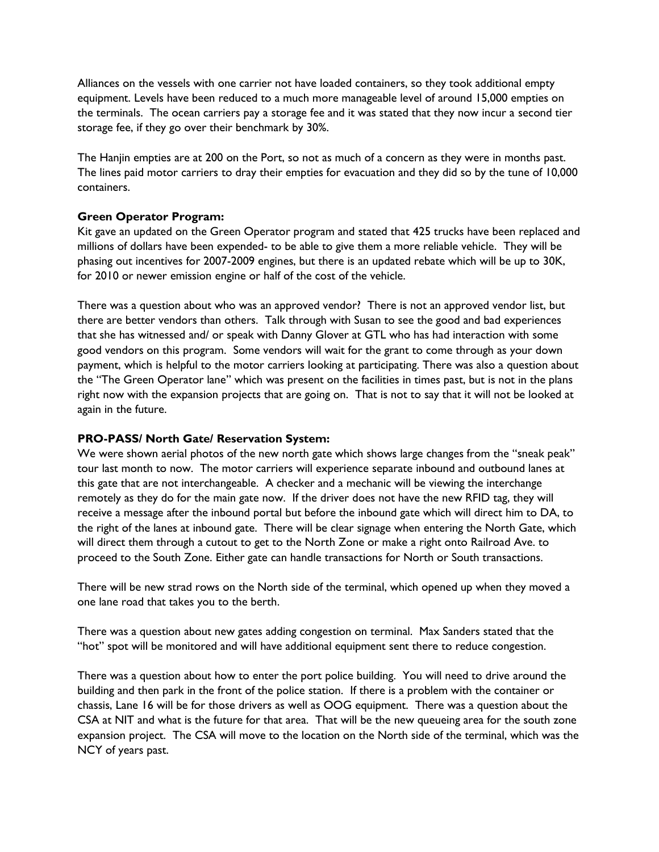Alliances on the vessels with one carrier not have loaded containers, so they took additional empty equipment. Levels have been reduced to a much more manageable level of around 15,000 empties on the terminals. The ocean carriers pay a storage fee and it was stated that they now incur a second tier storage fee, if they go over their benchmark by 30%.

The Hanjin empties are at 200 on the Port, so not as much of a concern as they were in months past. The lines paid motor carriers to dray their empties for evacuation and they did so by the tune of 10,000 containers.

## **Green Operator Program:**

Kit gave an updated on the Green Operator program and stated that 425 trucks have been replaced and millions of dollars have been expended- to be able to give them a more reliable vehicle. They will be phasing out incentives for 2007-2009 engines, but there is an updated rebate which will be up to 30K, for 2010 or newer emission engine or half of the cost of the vehicle.

There was a question about who was an approved vendor? There is not an approved vendor list, but there are better vendors than others. Talk through with Susan to see the good and bad experiences that she has witnessed and/ or speak with Danny Glover at GTL who has had interaction with some good vendors on this program. Some vendors will wait for the grant to come through as your down payment, which is helpful to the motor carriers looking at participating. There was also a question about the "The Green Operator lane" which was present on the facilities in times past, but is not in the plans right now with the expansion projects that are going on. That is not to say that it will not be looked at again in the future.

### **PRO-PASS/ North Gate/ Reservation System:**

We were shown aerial photos of the new north gate which shows large changes from the "sneak peak" tour last month to now. The motor carriers will experience separate inbound and outbound lanes at this gate that are not interchangeable. A checker and a mechanic will be viewing the interchange remotely as they do for the main gate now. If the driver does not have the new RFID tag, they will receive a message after the inbound portal but before the inbound gate which will direct him to DA, to the right of the lanes at inbound gate. There will be clear signage when entering the North Gate, which will direct them through a cutout to get to the North Zone or make a right onto Railroad Ave. to proceed to the South Zone. Either gate can handle transactions for North or South transactions.

There will be new strad rows on the North side of the terminal, which opened up when they moved a one lane road that takes you to the berth.

There was a question about new gates adding congestion on terminal. Max Sanders stated that the "hot" spot will be monitored and will have additional equipment sent there to reduce congestion.

There was a question about how to enter the port police building. You will need to drive around the building and then park in the front of the police station. If there is a problem with the container or chassis, Lane 16 will be for those drivers as well as OOG equipment. There was a question about the CSA at NIT and what is the future for that area. That will be the new queueing area for the south zone expansion project. The CSA will move to the location on the North side of the terminal, which was the NCY of years past.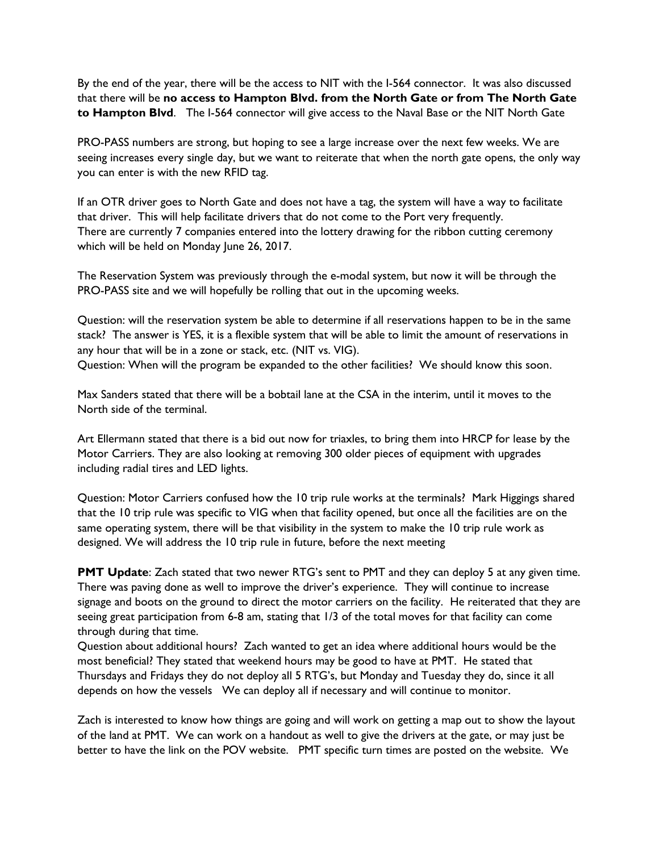By the end of the year, there will be the access to NIT with the I-564 connector. It was also discussed that there will be **no access to Hampton Blvd. from the North Gate or from The North Gate to Hampton Blvd**. The I-564 connector will give access to the Naval Base or the NIT North Gate

PRO-PASS numbers are strong, but hoping to see a large increase over the next few weeks. We are seeing increases every single day, but we want to reiterate that when the north gate opens, the only way you can enter is with the new RFID tag.

If an OTR driver goes to North Gate and does not have a tag, the system will have a way to facilitate that driver. This will help facilitate drivers that do not come to the Port very frequently. There are currently 7 companies entered into the lottery drawing for the ribbon cutting ceremony which will be held on Monday June 26, 2017.

The Reservation System was previously through the e-modal system, but now it will be through the PRO-PASS site and we will hopefully be rolling that out in the upcoming weeks.

Question: will the reservation system be able to determine if all reservations happen to be in the same stack? The answer is YES, it is a flexible system that will be able to limit the amount of reservations in any hour that will be in a zone or stack, etc. (NIT vs. VIG).

Question: When will the program be expanded to the other facilities? We should know this soon.

Max Sanders stated that there will be a bobtail lane at the CSA in the interim, until it moves to the North side of the terminal.

Art Ellermann stated that there is a bid out now for triaxles, to bring them into HRCP for lease by the Motor Carriers. They are also looking at removing 300 older pieces of equipment with upgrades including radial tires and LED lights.

Question: Motor Carriers confused how the 10 trip rule works at the terminals? Mark Higgings shared that the 10 trip rule was specific to VIG when that facility opened, but once all the facilities are on the same operating system, there will be that visibility in the system to make the 10 trip rule work as designed. We will address the 10 trip rule in future, before the next meeting

**PMT Update**: Zach stated that two newer RTG's sent to PMT and they can deploy 5 at any given time. There was paving done as well to improve the driver's experience. They will continue to increase signage and boots on the ground to direct the motor carriers on the facility. He reiterated that they are seeing great participation from 6-8 am, stating that 1/3 of the total moves for that facility can come through during that time.

Question about additional hours? Zach wanted to get an idea where additional hours would be the most beneficial? They stated that weekend hours may be good to have at PMT. He stated that Thursdays and Fridays they do not deploy all 5 RTG's, but Monday and Tuesday they do, since it all depends on how the vessels We can deploy all if necessary and will continue to monitor.

Zach is interested to know how things are going and will work on getting a map out to show the layout of the land at PMT. We can work on a handout as well to give the drivers at the gate, or may just be better to have the link on the POV website. PMT specific turn times are posted on the website. We